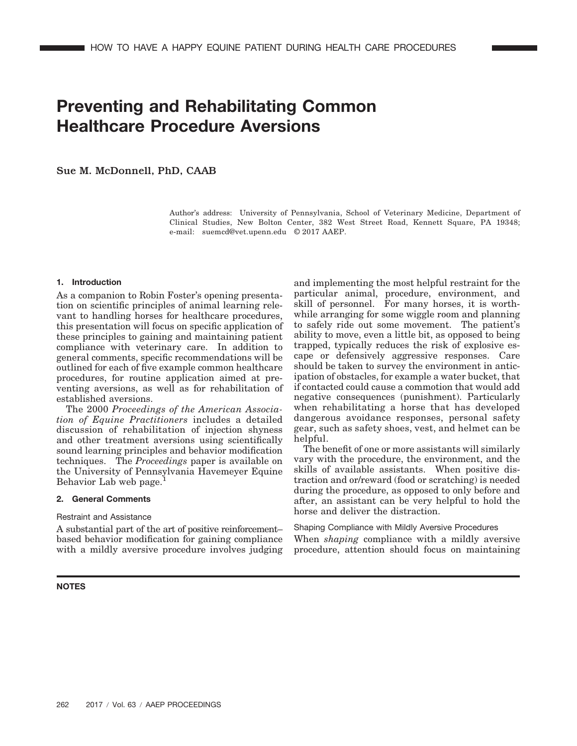# **Preventing and Rehabilitating Common Healthcare Procedure Aversions**

Sue M. McDonnell, PhD, CAAB

Author's address: University of Pennsylvania, School of Veterinary Medicine, Department of Clinical Studies, New Bolton Center, 382 West Street Road, Kennett Square, PA 19348; e-mail: suemcd@vet.upenn.edu © 2017 AAEP.

#### **1. Introduction**

As a companion to Robin Foster's opening presentation on scientific principles of animal learning relevant to handling horses for healthcare procedures, this presentation will focus on specific application of these principles to gaining and maintaining patient compliance with veterinary care. In addition to general comments, specific recommendations will be outlined for each of five example common healthcare procedures, for routine application aimed at preventing aversions, as well as for rehabilitation of established aversions.

The 2000 *Proceedings of the American Association of Equine Practitioners* includes a detailed discussion of rehabilitation of injection shyness and other treatment aversions using scientifically sound learning principles and behavior modification techniques. The *Proceedings* paper is available on the University of Pennsylvania Havemeyer Equine Behavior Lab web page.

#### **2. General Comments**

# Restraint and Assistance

A substantial part of the art of positive reinforcement– based behavior modification for gaining compliance with a mildly aversive procedure involves judging

and implementing the most helpful restraint for the particular animal, procedure, environment, and skill of personnel. For many horses, it is worthwhile arranging for some wiggle room and planning to safely ride out some movement. The patient's ability to move, even a little bit, as opposed to being trapped, typically reduces the risk of explosive escape or defensively aggressive responses. Care should be taken to survey the environment in anticipation of obstacles, for example a water bucket, that if contacted could cause a commotion that would add negative consequences (punishment). Particularly when rehabilitating a horse that has developed dangerous avoidance responses, personal safety gear, such as safety shoes, vest, and helmet can be helpful.

The benefit of one or more assistants will similarly vary with the procedure, the environment, and the skills of available assistants. When positive distraction and or/reward (food or scratching) is needed during the procedure, as opposed to only before and after, an assistant can be very helpful to hold the horse and deliver the distraction.

# Shaping Compliance with Mildly Aversive Procedures

When *shaping* compliance with a mildly aversive procedure, attention should focus on maintaining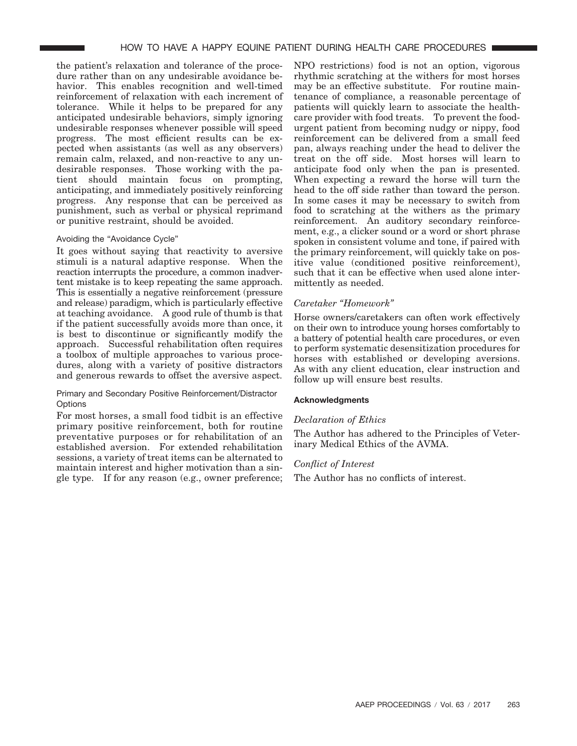the patient's relaxation and tolerance of the procedure rather than on any undesirable avoidance behavior. This enables recognition and well-timed reinforcement of relaxation with each increment of tolerance. While it helps to be prepared for any anticipated undesirable behaviors, simply ignoring undesirable responses whenever possible will speed progress. The most efficient results can be expected when assistants (as well as any observers) remain calm, relaxed, and non-reactive to any undesirable responses. Those working with the patient should maintain focus on prompting, anticipating, and immediately positively reinforcing progress. Any response that can be perceived as punishment, such as verbal or physical reprimand or punitive restraint, should be avoided.

# Avoiding the "Avoidance Cycle"

It goes without saying that reactivity to aversive stimuli is a natural adaptive response. When the reaction interrupts the procedure, a common inadvertent mistake is to keep repeating the same approach. This is essentially a negative reinforcement (pressure and release) paradigm, which is particularly effective at teaching avoidance. A good rule of thumb is that if the patient successfully avoids more than once, it is best to discontinue or significantly modify the approach. Successful rehabilitation often requires a toolbox of multiple approaches to various procedures, along with a variety of positive distractors and generous rewards to offset the aversive aspect.

# Primary and Secondary Positive Reinforcement/Distractor **Options**

For most horses, a small food tidbit is an effective primary positive reinforcement, both for routine preventative purposes or for rehabilitation of an established aversion. For extended rehabilitation sessions, a variety of treat items can be alternated to maintain interest and higher motivation than a single type. If for any reason (e.g., owner preference;

NPO restrictions) food is not an option, vigorous rhythmic scratching at the withers for most horses may be an effective substitute. For routine maintenance of compliance, a reasonable percentage of patients will quickly learn to associate the healthcare provider with food treats. To prevent the foodurgent patient from becoming nudgy or nippy, food reinforcement can be delivered from a small feed pan, always reaching under the head to deliver the treat on the off side. Most horses will learn to anticipate food only when the pan is presented. When expecting a reward the horse will turn the head to the off side rather than toward the person. In some cases it may be necessary to switch from food to scratching at the withers as the primary reinforcement. An auditory secondary reinforcement, e.g., a clicker sound or a word or short phrase spoken in consistent volume and tone, if paired with the primary reinforcement, will quickly take on positive value (conditioned positive reinforcement), such that it can be effective when used alone intermittently as needed.

# *Caretaker "Homework"*

Horse owners/caretakers can often work effectively on their own to introduce young horses comfortably to a battery of potential health care procedures, or even to perform systematic desensitization procedures for horses with established or developing aversions. As with any client education, clear instruction and follow up will ensure best results.

# **Acknowledgments**

# *Declaration of Ethics*

The Author has adhered to the Principles of Veterinary Medical Ethics of the AVMA.

# *Conflict of Interest*

The Author has no conflicts of interest.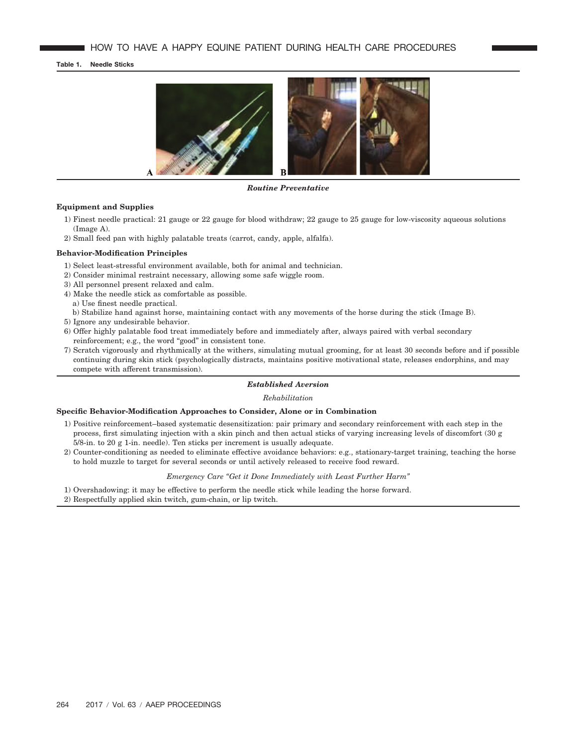**Table 1. Needle Sticks**



*Routine Preventative*

# **Equipment and Supplies**

- 1) Finest needle practical: 21 gauge or 22 gauge for blood withdraw; 22 gauge to 25 gauge for low-viscosity aqueous solutions (Image A).
- 2) Small feed pan with highly palatable treats (carrot, candy, apple, alfalfa).

## **Behavior-Modification Principles**

- 1) Select least-stressful environment available, both for animal and technician.
- 2) Consider minimal restraint necessary, allowing some safe wiggle room.
- 3) All personnel present relaxed and calm.
- 4) Make the needle stick as comfortable as possible. a) Use finest needle practical.
- b) Stabilize hand against horse, maintaining contact with any movements of the horse during the stick (Image B).
- 5) Ignore any undesirable behavior.
- 6) Offer highly palatable food treat immediately before and immediately after, always paired with verbal secondary reinforcement; e.g., the word "good" in consistent tone.
- 7) Scratch vigorously and rhythmically at the withers, simulating mutual grooming, for at least 30 seconds before and if possible continuing during skin stick (psychologically distracts, maintains positive motivational state, releases endorphins, and may compete with afferent transmission).

#### *Established Aversion*

*Rehabilitation*

# **Specific Behavior-Modification Approaches to Consider, Alone or in Combination**

- 1) Positive reinforcement–based systematic desensitization: pair primary and secondary reinforcement with each step in the process, first simulating injection with a skin pinch and then actual sticks of varying increasing levels of discomfort (30 g 5/8-in. to 20 g 1-in. needle). Ten sticks per increment is usually adequate.
- 2) Counter-conditioning as needed to eliminate effective avoidance behaviors: e.g., stationary-target training, teaching the horse to hold muzzle to target for several seconds or until actively released to receive food reward.

# *Emergency Care "Get it Done Immediately with Least Further Harm"*

- 1) Overshadowing: it may be effective to perform the needle stick while leading the horse forward.
- 2) Respectfully applied skin twitch, gum-chain, or lip twitch.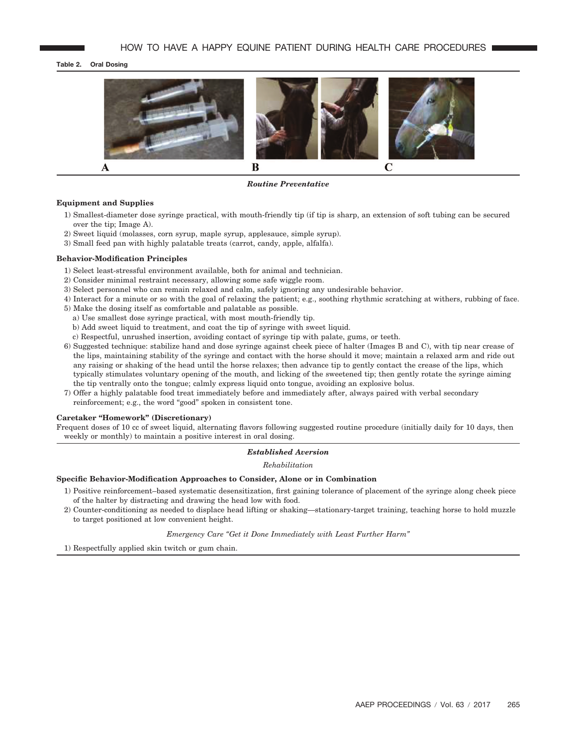# **Table 2. Oral Dosing**



*Routine Preventative*

#### **Equipment and Supplies**

- 1) Smallest-diameter dose syringe practical, with mouth-friendly tip (if tip is sharp, an extension of soft tubing can be secured over the tip; Image A).
- 2) Sweet liquid (molasses, corn syrup, maple syrup, applesauce, simple syrup).
- 3) Small feed pan with highly palatable treats (carrot, candy, apple, alfalfa).

#### **Behavior-Modification Principles**

- 1) Select least-stressful environment available, both for animal and technician.
- 2) Consider minimal restraint necessary, allowing some safe wiggle room.
- 3) Select personnel who can remain relaxed and calm, safely ignoring any undesirable behavior.
- 4) Interact for a minute or so with the goal of relaxing the patient; e.g., soothing rhythmic scratching at withers, rubbing of face.
- 5) Make the dosing itself as comfortable and palatable as possible.
- a) Use smallest dose syringe practical, with most mouth-friendly tip.
- b) Add sweet liquid to treatment, and coat the tip of syringe with sweet liquid.
- c) Respectful, unrushed insertion, avoiding contact of syringe tip with palate, gums, or teeth.
- 6) Suggested technique: stabilize hand and dose syringe against cheek piece of halter (Images B and C), with tip near crease of the lips, maintaining stability of the syringe and contact with the horse should it move; maintain a relaxed arm and ride out any raising or shaking of the head until the horse relaxes; then advance tip to gently contact the crease of the lips, which typically stimulates voluntary opening of the mouth, and licking of the sweetened tip; then gently rotate the syringe aiming the tip ventrally onto the tongue; calmly express liquid onto tongue, avoiding an explosive bolus.
- 7) Offer a highly palatable food treat immediately before and immediately after, always paired with verbal secondary reinforcement; e.g., the word "good" spoken in consistent tone.

#### **Caretaker "Homework" (Discretionary)**

Frequent doses of 10 cc of sweet liquid, alternating flavors following suggested routine procedure (initially daily for 10 days, then weekly or monthly) to maintain a positive interest in oral dosing.

#### *Established Aversion*

*Rehabilitation*

#### **Specific Behavior-Modification Approaches to Consider, Alone or in Combination**

- 1) Positive reinforcement–based systematic desensitization, first gaining tolerance of placement of the syringe along cheek piece of the halter by distracting and drawing the head low with food.
- 2) Counter-conditioning as needed to displace head lifting or shaking—stationary-target training, teaching horse to hold muzzle to target positioned at low convenient height.

*Emergency Care "Get it Done Immediately with Least Further Harm"*

1) Respectfully applied skin twitch or gum chain.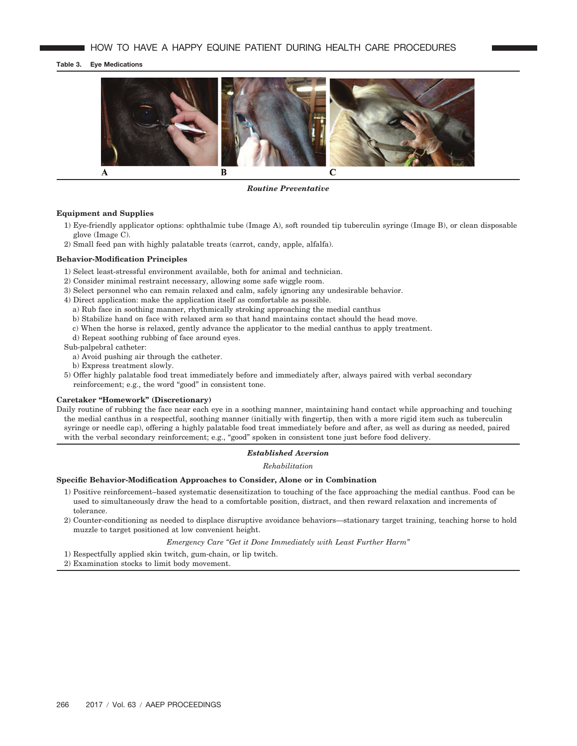#### **Table 3. Eye Medications**



*Routine Preventative*

# **Equipment and Supplies**

- 1) Eye-friendly applicator options: ophthalmic tube (Image A), soft rounded tip tuberculin syringe (Image B), or clean disposable glove (Image C).
- 2) Small feed pan with highly palatable treats (carrot, candy, apple, alfalfa).

#### **Behavior-Modification Principles**

- 1) Select least-stressful environment available, both for animal and technician.
- 2) Consider minimal restraint necessary, allowing some safe wiggle room.
- 3) Select personnel who can remain relaxed and calm, safely ignoring any undesirable behavior.
- 4) Direct application: make the application itself as comfortable as possible.
	- a) Rub face in soothing manner, rhythmically stroking approaching the medial canthus
	- b) Stabilize hand on face with relaxed arm so that hand maintains contact should the head move.
	- c) When the horse is relaxed, gently advance the applicator to the medial canthus to apply treatment.
	- d) Repeat soothing rubbing of face around eyes.

Sub-palpebral catheter:

- a) Avoid pushing air through the catheter.
- b) Express treatment slowly.
- 5) Offer highly palatable food treat immediately before and immediately after, always paired with verbal secondary reinforcement; e.g., the word "good" in consistent tone.

#### **Caretaker "Homework" (Discretionary)**

Daily routine of rubbing the face near each eye in a soothing manner, maintaining hand contact while approaching and touching the medial canthus in a respectful, soothing manner (initially with fingertip, then with a more rigid item such as tuberculin syringe or needle cap), offering a highly palatable food treat immediately before and after, as well as during as needed, paired with the verbal secondary reinforcement; e.g., "good" spoken in consistent tone just before food delivery.

#### *Established Aversion*

#### *Rehabilitation*

# **Specific Behavior-Modification Approaches to Consider, Alone or in Combination**

- 1) Positive reinforcement–based systematic desensitization to touching of the face approaching the medial canthus. Food can be used to simultaneously draw the head to a comfortable position, distract, and then reward relaxation and increments of tolerance.
- 2) Counter-conditioning as needed to displace disruptive avoidance behaviors—stationary target training, teaching horse to hold muzzle to target positioned at low convenient height.
	- *Emergency Care "Get it Done Immediately with Least Further Harm"*
- 1) Respectfully applied skin twitch, gum-chain, or lip twitch.
- 2) Examination stocks to limit body movement.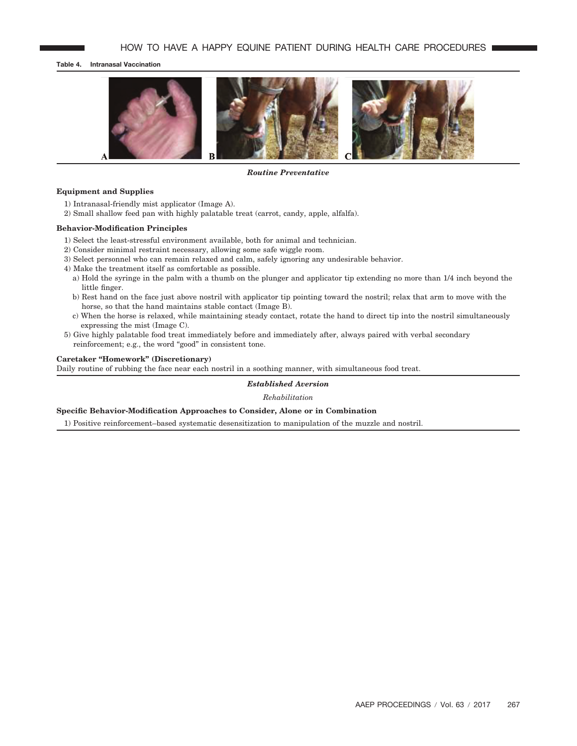# **Table 4. Intranasal Vaccination**



#### *Routine Preventative*

# **Equipment and Supplies**

- 1) Intranasal-friendly mist applicator (Image A).
- 2) Small shallow feed pan with highly palatable treat (carrot, candy, apple, alfalfa).

### **Behavior-Modification Principles**

- 1) Select the least-stressful environment available, both for animal and technician.
- 2) Consider minimal restraint necessary, allowing some safe wiggle room.
- 3) Select personnel who can remain relaxed and calm, safely ignoring any undesirable behavior.
- 4) Make the treatment itself as comfortable as possible.
	- a) Hold the syringe in the palm with a thumb on the plunger and applicator tip extending no more than 1/4 inch beyond the little finger.
	- b) Rest hand on the face just above nostril with applicator tip pointing toward the nostril; relax that arm to move with the horse, so that the hand maintains stable contact (Image B).
	- c) When the horse is relaxed, while maintaining steady contact, rotate the hand to direct tip into the nostril simultaneously expressing the mist (Image C).
- 5) Give highly palatable food treat immediately before and immediately after, always paired with verbal secondary reinforcement; e.g., the word "good" in consistent tone.

## **Caretaker "Homework" (Discretionary)**

Daily routine of rubbing the face near each nostril in a soothing manner, with simultaneous food treat.

#### *Established Aversion*

*Rehabilitation*

## **Specific Behavior-Modification Approaches to Consider, Alone or in Combination**

1) Positive reinforcement–based systematic desensitization to manipulation of the muzzle and nostril.